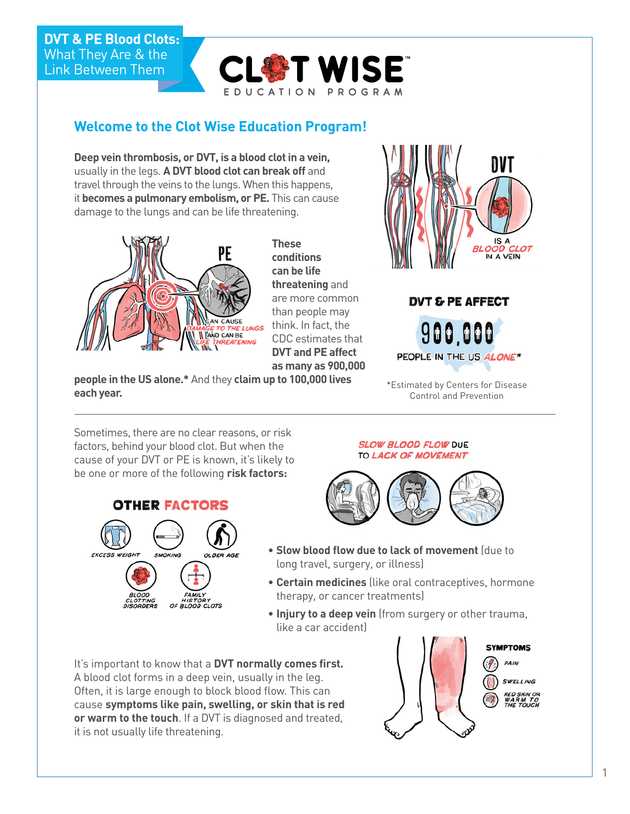### **DVT & PE Blood Clots:**  What They Are & the Link Between Them



# **Welcome to the Clot Wise Education Program!**

**Deep vein thrombosis, or DVT, is a blood clot in a vein,** usually in the legs. **A DVT blood clot can break off** and travel through the veins to the lungs. When this happens, it **becomes a pulmonary embolism, or PE.** This can cause damage to the lungs and can be life threatening.



**These conditions can be life threatening** and are more common than people may think. In fact, the CDC estimates that **DVT and PE affect as many as 900,000** 





Control and Prevention

**people in the US alone.\*** And they **claim up to 100,000 lives each year.**

Sometimes, there are no clear reasons, or risk factors, behind your blood clot. But when the cause of your DVT or PE is known, it's likely to be one or more of the following **risk factors:**

### **OTHER FACTORS**



#### **SLOW BLOOD FLOW DUE** TO LACK OF MOVEMENT



- **Slow blood flow due to lack of movement** (due to long travel, surgery, or illness)
- **Certain medicines** (like oral contraceptives, hormone therapy, or cancer treatments)
- **Injury to a deep vein** (from surgery or other trauma, like a car accident)

It's important to know that a **DVT normally comes first.** A blood clot forms in a deep vein, usually in the leg. Often, it is large enough to block blood flow. This can cause **symptoms like pain, swelling, or skin that is red or warm to the touch**. If a DVT is diagnosed and treated, it is not usually life threatening.